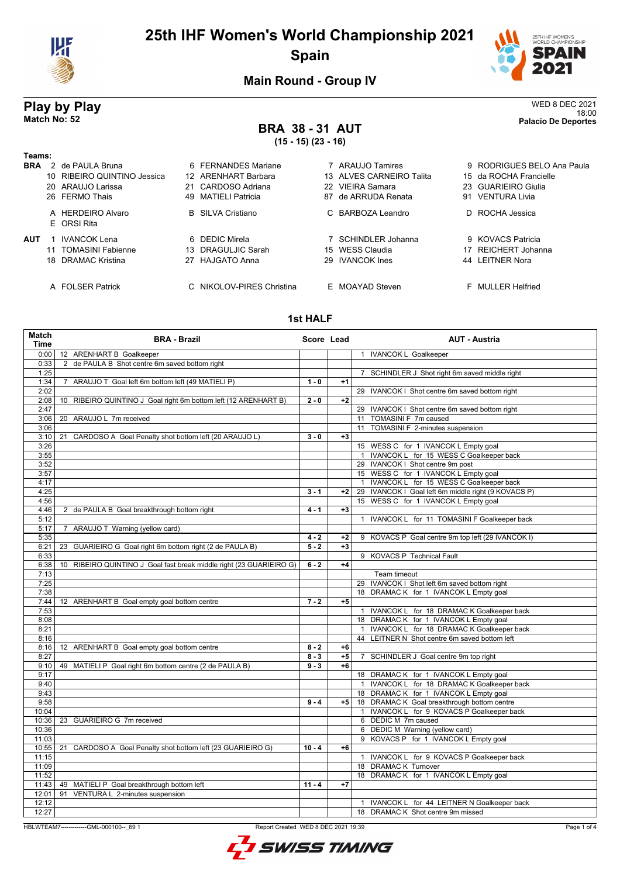

# **25th IHF Women's World Championship 2021 Spain**



**Main Round - Group IV**

# **BRA 38 - 31 AUT**

| Play by Play |                         | WED 8 DEC 2021<br>18:00    |
|--------------|-------------------------|----------------------------|
| Match No: 52 | <b>BRA 38-31 AUT</b>    | <b>Palacio De Deportes</b> |
|              | $(15 - 15)$ $(23 - 16)$ |                            |

### **Teams:**

| <b>BRA</b> | 2 de PAULA Bruna                 | 6 FERNANDES Mariane       | 7 ARAUJO Tamires         |    | 9 RODRIGUES BELO Ana Paula |
|------------|----------------------------------|---------------------------|--------------------------|----|----------------------------|
|            | 10 RIBEIRO QUINTINO Jessica      | 12 ARENHART Barbara       | 13 ALVES CARNEIRO Talita |    | 15 da ROCHA Francielle     |
|            | 20 ARAUJO Larissa                | 21 CARDOSO Adriana        | 22 VIEIRA Samara         |    | 23 GUARIEIRO Giulia        |
|            | 26 FERMO Thais                   | 49 MATIELI Patricia       | 87 de ARRUDA Renata      | 91 | VENTURA Livia              |
|            | A HERDEIRO Alvaro<br>E ORSI Rita | <b>B</b> SILVA Cristiano  | C BARBOZA Leandro        |    | D ROCHA Jessica            |
| AUT        | IVANCOK Lena                     | 6 DEDIC Mirela            | 7 SCHINDLER Johanna      |    | 9 KOVACS Patricia          |
|            | 11 TOMASINI Fabienne             | 13 DRAGULJIC Sarah        | 15 WESS Claudia          |    | 17 REICHERT Johanna        |
|            | 18 DRAMAC Kristina               | 27 HAJGATO Anna           | 29 IVANCOK Ines          |    | 44 LEITNER Nora            |
|            | A FOLSER Patrick                 | C NIKOLOV-PIRES Christina | E MOAYAD Steven          |    | F MULLER Helfried          |

## **1st HALF**

| Match<br><b>Time</b> | <b>BRA - Brazil</b>                                                                 | Score Lead |      | <b>AUT - Austria</b>                                        |
|----------------------|-------------------------------------------------------------------------------------|------------|------|-------------------------------------------------------------|
| 0:00                 | 12 ARENHART B Goalkeeper                                                            |            |      | 1 IVANCOK L Goalkeeper                                      |
| 0:33                 | de PAULA B Shot centre 6m saved bottom right<br>$\overline{2}$                      |            |      |                                                             |
| 1:25                 |                                                                                     |            |      | 7 SCHINDLER J Shot right 6m saved middle right              |
| 1:34                 | ARAUJO T Goal left 6m bottom left (49 MATIELI P)<br>$\overline{7}$                  | $1 - 0$    | $+1$ |                                                             |
| 2:02                 |                                                                                     |            |      | 29 IVANCOK I Shot centre 6m saved bottom right              |
| 2:08                 | RIBEIRO QUINTINO J Goal right 6m bottom left (12 ARENHART B)<br>10 <sup>°</sup>     | $2 - 0$    | $+2$ |                                                             |
| 2:47                 |                                                                                     |            |      | 29 IVANCOK I Shot centre 6m saved bottom right              |
| 3:06                 | ARAUJO L 7m received<br>20                                                          |            |      | 11 TOMASINI F 7m caused                                     |
| 3:06                 |                                                                                     |            |      | 11 TOMASINI F 2-minutes suspension                          |
| 3:10                 | CARDOSO A Goal Penalty shot bottom left (20 ARAUJO L)<br>21                         | $3 - 0$    | $+3$ |                                                             |
| 3:26                 |                                                                                     |            |      | 15 WESS C for 1 IVANCOK L Empty goal                        |
| 3:55                 |                                                                                     |            |      | 1 IVANCOK L for 15 WESS C Goalkeeper back                   |
| 3:52                 |                                                                                     |            |      | 29 IVANCOK I Shot centre 9m post                            |
| 3:57                 |                                                                                     |            |      | 15 WESS C for 1 IVANCOK L Empty goal                        |
| 4:17                 |                                                                                     |            |      | 1 IVANCOK L for 15 WESS C Goalkeeper back                   |
| 4:25                 |                                                                                     | $3 - 1$    | $+2$ | 29 IVANCOK I Goal left 6m middle right (9 KOVACS P)         |
| 4:56                 |                                                                                     |            |      | 15 WESS C for 1 IVANCOK L Empty goal                        |
| 4:46                 | 2 de PAULA B Goal breakthrough bottom right                                         | $4 - 1$    | $+3$ |                                                             |
| 5:12                 |                                                                                     |            |      | IVANCOK L for 11 TOMASINI F Goalkeeper back<br>$\mathbf{1}$ |
| 5:17                 | 7 ARAUJO T Warning (yellow card)                                                    |            |      |                                                             |
| 5:35                 |                                                                                     | $4 - 2$    | $+2$ | 9 KOVACS P Goal centre 9m top left (29 IVANCOK I)           |
| 6:21                 | 23 GUARIEIRO G Goal right 6m bottom right (2 de PAULA B)                            | $5 - 2$    | $+3$ |                                                             |
| 6:33                 |                                                                                     |            |      | 9 KOVACS P Technical Fault                                  |
| 6:38                 | RIBEIRO QUINTINO J Goal fast break middle right (23 GUARIEIRO G)<br>10 <sup>°</sup> | $6 - 2$    | $+4$ |                                                             |
| 7:13                 |                                                                                     |            |      | Team timeout                                                |
| 7:25                 |                                                                                     |            |      | 29 IVANCOK I Shot left 6m saved bottom right                |
| 7:38                 |                                                                                     |            |      | 18 DRAMAC K for 1 IVANCOK L Empty goal                      |
| 7:44                 | 12 ARENHART B Goal empty goal bottom centre                                         | $7 - 2$    | $+5$ |                                                             |
| 7:53                 |                                                                                     |            |      | 1 IVANCOK L for 18 DRAMAC K Goalkeeper back                 |
| 8:08                 |                                                                                     |            |      | 18 DRAMAC K for 1 IVANCOK L Empty goal                      |
| 8:21                 |                                                                                     |            |      | 1 IVANCOK L for 18 DRAMAC K Goalkeeper back                 |
| 8:16                 |                                                                                     |            |      | 44 LEITNER N Shot centre 6m saved bottom left               |
| 8:16                 | 12 ARENHART B Goal empty goal bottom centre                                         | $8 - 2$    | +6   |                                                             |
| 8:27                 |                                                                                     | $8 - 3$    | $+5$ | 7 SCHINDLER J Goal centre 9m top right                      |
| 9:10                 | 49 MATIELI P Goal right 6m bottom centre (2 de PAULA B)                             | $9 - 3$    | $+6$ |                                                             |
| 9:17                 |                                                                                     |            |      | 18 DRAMAC K for 1 IVANCOK L Empty goal                      |
| 9:40                 |                                                                                     |            |      | 1 IVANCOK L for 18 DRAMAC K Goalkeeper back                 |
| 9:43                 |                                                                                     |            |      | 18 DRAMAC K for 1 IVANCOK L Empty goal                      |
| 9:58                 |                                                                                     | $9 - 4$    | $+5$ | 18 DRAMAC K Goal breakthrough bottom centre                 |
| 10:04                |                                                                                     |            |      | 1 IVANCOK L for 9 KOVACS P Goalkeeper back                  |
| 10:36                | 23 GUARIEIRO G 7m received                                                          |            |      | 6 DEDIC M 7m caused                                         |
| 10:36                |                                                                                     |            |      | 6 DEDIC M Warning (yellow card)                             |
| 11:03                |                                                                                     |            |      | 9 KOVACS P for 1 IVANCOK L Empty goal                       |
| 10:55                | 21<br>CARDOSO A Goal Penalty shot bottom left (23 GUARIEIRO G)                      | $10 - 4$   | $+6$ |                                                             |
| 11:15                |                                                                                     |            |      | 1 IVANCOK L for 9 KOVACS P Goalkeeper back                  |
| 11:09                |                                                                                     |            |      | 18 DRAMAC K Turnover                                        |
| 11:52                |                                                                                     |            |      | 18 DRAMAC K for 1 IVANCOK L Empty goal                      |
| 11:43                | 49 MATIELI P Goal breakthrough bottom left                                          | $11 - 4$   | $+7$ |                                                             |
| 12:01                | 91<br>VENTURA L 2-minutes suspension                                                |            |      |                                                             |
| 12:12                |                                                                                     |            |      | 1 IVANCOK L for 44 LEITNER N Goalkeeper back                |
| 12:27                |                                                                                     |            |      | 18 DRAMAC K Shot centre 9m missed                           |

HBLWTEAM7--------------GML-000100--\_69 1 Report Created WED 8 DEC 2021 19:39

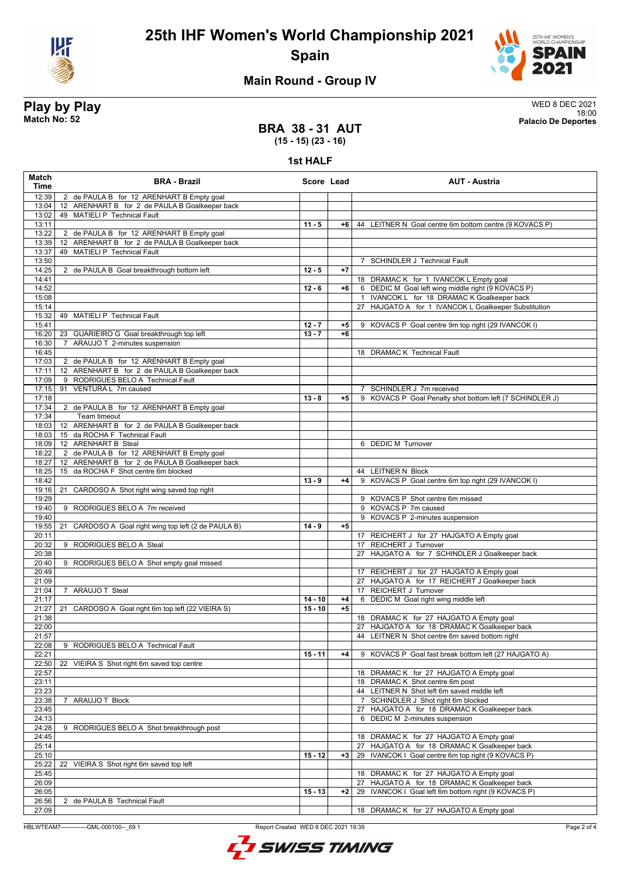



## **Main Round - Group IV**

**Play by Play** WED 8 DEC 2021 18:00 **Match No: 52 Palacio De Deportes**

## **BRA 38 - 31 AUT (15 - 15) (23 - 16)**

**1st HALF**

| <b>Match</b><br><b>Time</b> | <b>BRA - Brazil</b>                                                            | Score Lead |      | <b>AUT - Austria</b>                                     |
|-----------------------------|--------------------------------------------------------------------------------|------------|------|----------------------------------------------------------|
| 12:39                       | 2 de PAULA B for 12 ARENHART B Empty goal                                      |            |      |                                                          |
| 13:04                       | 12 ARENHART B for 2 de PAULA B Goalkeeper back                                 |            |      |                                                          |
| 13:02                       | 49 MATIELI P Technical Fault                                                   |            |      |                                                          |
| 13:11                       |                                                                                | $11 - 5$   | +6   | 44 LEITNER N Goal centre 6m bottom centre (9 KOVACS P)   |
| 13:22                       | 2 de PAULA B for 12 ARENHART B Empty goal                                      |            |      |                                                          |
| 13:39                       | 12 ARENHART B for 2 de PAULA B Goalkeeper back<br>49 MATIELI P Technical Fault |            |      |                                                          |
| 13:37<br>13:50              |                                                                                |            |      | <b>SCHINDLER J Technical Fault</b>                       |
| 14:25                       | 2 de PAULA B Goal breakthrough bottom left                                     | $12 - 5$   | $+7$ |                                                          |
| 14:41                       |                                                                                |            |      | 18 DRAMAC K for 1 IVANCOK L Empty goal                   |
| 14:52                       |                                                                                | $12 - 6$   | $+6$ | 6 DEDIC M Goal left wing middle right (9 KOVACS P)       |
| 15:08                       |                                                                                |            |      | 1 IVANCOK L for 18 DRAMAC K Goalkeeper back              |
| 15:14                       |                                                                                |            |      | 27 HAJGATO A for 1 IVANCOK L Goalkeeper Substitution     |
| 15:32                       | 49 MATIELI P Technical Fault                                                   |            |      |                                                          |
| 15:41                       |                                                                                | $12 - 7$   | $+5$ | 9 KOVACS P Goal centre 9m top right (29 IVANCOK I)       |
| 16:20                       | 23 GUARIEIRO G Goal breakthrough top left                                      | $13 - 7$   | $+6$ |                                                          |
| 16:30                       | 7 ARAUJO T 2-minutes suspension                                                |            |      |                                                          |
| 16:45                       |                                                                                |            |      | 18 DRAMAC K Technical Fault                              |
| 17:03                       | 2 de PAULA B for 12 ARENHART B Empty goal                                      |            |      |                                                          |
| 17:11                       | 12 ARENHART B for 2 de PAULA B Goalkeeper back                                 |            |      |                                                          |
| 17:09<br>17:15              | 9 RODRIGUES BELO A Technical Fault<br>91 VENTURA L 7m caused                   |            |      | 7 SCHINDLER J 7m received                                |
| 17:18                       |                                                                                | $13 - 8$   | $+5$ | 9 KOVACS P Goal Penalty shot bottom left (7 SCHINDLER J) |
| 17:34                       | 2 de PAULA B for 12 ARENHART B Empty goal                                      |            |      |                                                          |
| 17:34                       | Team timeout                                                                   |            |      |                                                          |
| 18:03                       | 12 ARENHART B for 2 de PAULA B Goalkeeper back                                 |            |      |                                                          |
| 18:03                       | 15 da ROCHA F Technical Fault                                                  |            |      |                                                          |
| 18:09                       | 12 ARENHART B Steal                                                            |            |      | 6 DEDIC M Turnover                                       |
| 18:22                       | 2 de PAULA B for 12 ARENHART B Empty goal                                      |            |      |                                                          |
| 18:27                       | 12 ARENHART B for 2 de PAULA B Goalkeeper back                                 |            |      |                                                          |
| 18:25                       | 15 da ROCHA F Shot centre 6m blocked                                           |            |      | 44 LEITNER N Block                                       |
| 18:42                       |                                                                                | $13 - 9$   | $+4$ | 9 KOVACS P Goal centre 6m top right (29 IVANCOK I)       |
| 19:16                       | CARDOSO A Shot right wing saved top right<br>21                                |            |      |                                                          |
| 19:29                       |                                                                                |            |      | 9 KOVACS P Shot centre 6m missed<br>9 KOVACS P 7m caused |
| 19:40<br>19:40              | 9 RODRIGUES BELO A 7m received                                                 |            |      | 9 KOVACS P 2-minutes suspension                          |
| 19:55                       | CARDOSO A Goal right wing top left (2 de PAULA B)<br>21                        | $14 - 9$   | $+5$ |                                                          |
| 20:11                       |                                                                                |            |      | 17 REICHERT J for 27 HAJGATO A Empty goal                |
| 20:32                       | 9 RODRIGUES BELO A Steal                                                       |            |      | 17 REICHERT J Turnover                                   |
| 20:38                       |                                                                                |            |      | 27 HAJGATO A for 7 SCHINDLER J Goalkeeper back           |
| 20:40                       | 9 RODRIGUES BELO A Shot empty goal missed                                      |            |      |                                                          |
| 20:49                       |                                                                                |            |      | 17 REICHERT J for 27 HAJGATO A Empty goal                |
| 21:09                       |                                                                                |            |      | 27 HAJGATO A for 17 REICHERT J Goalkeeper back           |
| 21:04                       | 7 ARAUJO T Steal                                                               |            |      | 17 REICHERT J Turnover                                   |
| 21:17                       |                                                                                | $14 - 10$  | $+4$ | 6 DEDIC M Goal right wing middle left                    |
| 21:27<br>21:38              | 21 CARDOSO A Goal right 6m top left (22 VIEIRA S)                              | $15 - 10$  | $+5$ | 18 DRAMAC K for 27 HAJGATO A Empty goal                  |
| 22:00                       |                                                                                |            |      | 27 HAJGATO A for 18 DRAMAC K Goalkeeper back             |
| 21:57                       |                                                                                |            |      | 44 LEITNER N Shot centre 6m saved bottom right           |
| 22:08                       | 9 RODRIGUES BELO A Technical Fault                                             |            |      |                                                          |
| 22:21                       |                                                                                | $15 - 11$  | $+4$ | 9 KOVACS P Goal fast break bottom left (27 HAJGATO A)    |
| 22:50                       | 22 VIEIRA S Shot right 6m saved top centre                                     |            |      |                                                          |
| 22:57                       |                                                                                |            |      | 18 DRAMAC K for 27 HAJGATO A Empty goal                  |
| 23:11                       |                                                                                |            |      | 18 DRAMAC K Shot centre 6m post                          |
| 23:23                       |                                                                                |            |      | 44 LEITNER N Shot left 6m saved middle left              |
| 23:38                       | 7 ARAUJO T Block                                                               |            |      | 7 SCHINDLER J Shot right 6m blocked                      |
| 23:45                       |                                                                                |            |      | 27 HAJGATO A for 18 DRAMAC K Goalkeeper back             |
| 24:13<br>24:28              | 9 RODRIGUES BELO A Shot breakthrough post                                      |            |      | DEDIC M 2-minutes suspension<br>6                        |
| 24:45                       |                                                                                |            |      | 18 DRAMAC K for 27 HAJGATO A Empty goal                  |
| 25:14                       |                                                                                |            |      | 27 HAJGATO A for 18 DRAMAC K Goalkeeper back             |
| 25:10                       |                                                                                | $15 - 12$  | $+3$ | 29 IVANCOK I Goal centre 6m top right (9 KOVACS P)       |
| 25:22                       | 22 VIEIRA S Shot right 6m saved top left                                       |            |      |                                                          |
| 25:45                       |                                                                                |            |      | 18 DRAMAC K for 27 HAJGATO A Empty goal                  |
| 26:09                       |                                                                                |            |      | HAJGATO A for 18 DRAMAC K Goalkeeper back<br>27          |
| 26:05                       |                                                                                | $15 - 13$  | $+2$ | IVANCOK I Goal left 6m bottom right (9 KOVACS P)<br>29   |
| 26:56                       | 2 de PAULA B Technical Fault                                                   |            |      |                                                          |
| 27:09                       |                                                                                |            |      | 18 DRAMAC K for 27 HAJGATO A Empty goal                  |

HBLWTEAM7--------------GML-000100--\_69 1 Report Created WED 8 DEC 2021 19:39

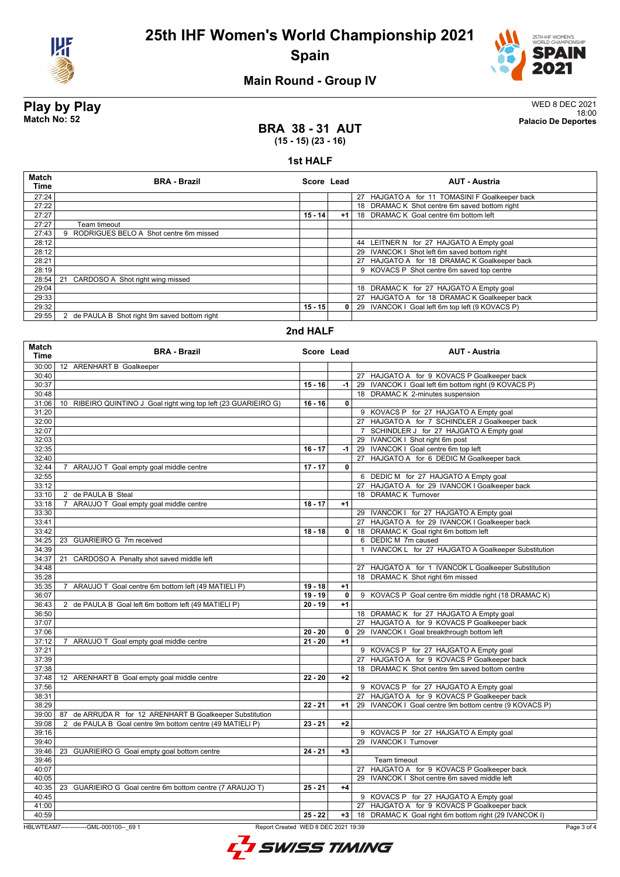![](_page_2_Picture_0.jpeg)

![](_page_2_Picture_2.jpeg)

## **Main Round - Group IV**

**Play by Play** WED 8 DEC 2021 18:00 **Match No: 52 Palacio De Deportes**

## **BRA 38 - 31 AUT (15 - 15) (23 - 16)**

### **1st HALF**

| <b>Match</b><br><b>Time</b> | <b>BRA - Brazil</b>                           | Score Lead |      | <b>AUT - Austria</b>                            |
|-----------------------------|-----------------------------------------------|------------|------|-------------------------------------------------|
| 27:24                       |                                               |            |      | 27 HAJGATO A for 11 TOMASINI F Goalkeeper back  |
| 27:22                       |                                               |            |      | 18 DRAMAC K Shot centre 6m saved bottom right   |
| 27:27                       |                                               | $15 - 14$  | $+1$ | 18 DRAMAC K Goal centre 6m bottom left          |
| 27:27                       | Team timeout                                  |            |      |                                                 |
| 27:43                       | RODRIGUES BELO A Shot centre 6m missed        |            |      |                                                 |
| 28:12                       |                                               |            |      | 44 LEITNER N for 27 HAJGATO A Empty goal        |
| 28:12                       |                                               |            |      | 29 IVANCOK I Shot left 6m saved bottom right    |
| 28:21                       |                                               |            |      | 27 HAJGATO A for 18 DRAMAC K Goalkeeper back    |
| 28:19                       |                                               |            |      | 9 KOVACS P Shot centre 6m saved top centre      |
| 28:54                       | 21<br>CARDOSO A Shot right wing missed        |            |      |                                                 |
| 29:04                       |                                               |            |      | 18 DRAMAC K for 27 HAJGATO A Empty goal         |
| 29:33                       |                                               |            |      | 27 HAJGATO A for 18 DRAMAC K Goalkeeper back    |
| 29:32                       |                                               | $15 - 15$  | 0    | 29 IVANCOK I Goal left 6m top left (9 KOVACS P) |
| 29:55                       | 2 de PAULA B Shot right 9m saved bottom right |            |      |                                                 |

### **2nd HALF**

| <b>Match</b><br>Time | <b>BRA - Brazil</b>                                                             |           | Score Lead   | <b>AUT - Austria</b>                                               |
|----------------------|---------------------------------------------------------------------------------|-----------|--------------|--------------------------------------------------------------------|
| 30:00                | 12 ARENHART B Goalkeeper                                                        |           |              |                                                                    |
| 30:40                |                                                                                 |           |              | 27 HAJGATO A for 9 KOVACS P Goalkeeper back                        |
| 30:37                |                                                                                 | $15 - 16$ | -1           | 29 IVANCOK I Goal left 6m bottom right (9 KOVACS P)                |
| 30:48                |                                                                                 |           |              | 18 DRAMAC K 2-minutes suspension                                   |
| 31:06                | 10 RIBEIRO QUINTINO J Goal right wing top left (23 GUARIEIRO G)                 | $16 - 16$ | 0            |                                                                    |
| 31:20                |                                                                                 |           |              | 9 KOVACS P for 27 HAJGATO A Empty goal                             |
| 32:00                |                                                                                 |           |              | 27 HAJGATO A for 7 SCHINDLER J Goalkeeper back                     |
| 32:07                |                                                                                 |           |              | 7 SCHINDLER J for 27 HAJGATO A Empty goal                          |
| 32:03                |                                                                                 |           |              | 29 IVANCOK I Shot right 6m post                                    |
| 32:35                |                                                                                 | $16 - 17$ | $-1$         | 29 IVANCOK I Goal centre 6m top left                               |
| 32:40                |                                                                                 |           |              | 27 HAJGATO A for 6 DEDIC M Goalkeeper back                         |
| 32:44                | 7 ARAUJO T Goal empty goal middle centre                                        | $17 - 17$ | 0            |                                                                    |
| 32:55                |                                                                                 |           |              | 6 DEDIC M for 27 HAJGATO A Empty goal                              |
| 33:12                |                                                                                 |           |              | 27 HAJGATO A for 29 IVANCOK I Goalkeeper back                      |
| 33:10                | 2 de PAULA B Steal                                                              |           |              | 18 DRAMAC K Turnover                                               |
| 33:18                | 7 ARAUJO T Goal empty goal middle centre                                        | $18 - 17$ | $+1$         |                                                                    |
| 33:30                |                                                                                 |           |              | 29 IVANCOK I for 27 HAJGATO A Empty goal                           |
| 33:41                |                                                                                 |           |              | 27 HAJGATO A for 29 IVANCOK I Goalkeeper back                      |
| 33:42                |                                                                                 | $18 - 18$ | 0            | 18 DRAMAC K Goal right 6m bottom left                              |
| 34:25                | 23 GUARIEIRO G 7m received                                                      |           |              | 6 DEDIC M 7m caused                                                |
| 34:39                |                                                                                 |           |              | IVANCOK L for 27 HAJGATO A Goalkeeper Substitution<br>$\mathbf{1}$ |
| 34:37                | 21 CARDOSO A Penalty shot saved middle left                                     |           |              |                                                                    |
| 34:48                |                                                                                 |           |              | 27 HAJGATO A for 1 IVANCOK L Goalkeeper Substitution               |
| 35:28                |                                                                                 |           |              | 18 DRAMAC K Shot right 6m missed                                   |
| 35:35                | 7 ARAUJO T Goal centre 6m bottom left (49 MATIELI P)                            | $19 - 18$ | $+1$         |                                                                    |
| 36:07                |                                                                                 | $19 - 19$ | $\mathbf{0}$ | 9 KOVACS P Goal centre 6m middle right (18 DRAMAC K)               |
| 36:43                | 2 de PAULA B Goal left 6m bottom left (49 MATIELI P)                            | $20 - 19$ | $+1$         |                                                                    |
| 36:50                |                                                                                 |           |              | 18 DRAMAC K for 27 HAJGATO A Empty goal                            |
| 37:07                |                                                                                 |           |              | 27 HAJGATO A for 9 KOVACS P Goalkeeper back                        |
| 37:06                |                                                                                 | $20 - 20$ | 0            | 29 IVANCOK I Goal breakthrough bottom left                         |
| 37:12                | 7 ARAUJO T Goal empty goal middle centre                                        | $21 - 20$ | $+1$         |                                                                    |
| 37:21                |                                                                                 |           |              | 9 KOVACS P for 27 HAJGATO A Empty goal                             |
| 37:39                |                                                                                 |           |              | 27 HAJGATO A for 9 KOVACS P Goalkeeper back                        |
| 37:38                |                                                                                 |           |              | 18 DRAMAC K Shot centre 9m saved bottom centre                     |
| 37:48                | 12 ARENHART B Goal empty goal middle centre                                     | $22 - 20$ | $+2$         |                                                                    |
| 37:56                |                                                                                 |           |              | 9 KOVACS P for 27 HAJGATO A Empty goal                             |
| 38:31                |                                                                                 |           |              | 27 HAJGATO A for 9 KOVACS P Goalkeeper back                        |
| 38:29                |                                                                                 | $22 - 21$ | $+1$         | 29 IVANCOK I Goal centre 9m bottom centre (9 KOVACS P)             |
| 39:00                | 87 de ARRUDA R for 12 ARENHART B Goalkeeper Substitution                        |           |              |                                                                    |
| 39:08                | 2 de PAULA B Goal centre 9m bottom centre (49 MATIELI P)                        | $23 - 21$ | $+2$         |                                                                    |
| 39:16                |                                                                                 |           |              | 9 KOVACS P for 27 HAJGATO A Empty goal                             |
| 39:40                |                                                                                 |           |              | 29 IVANCOK I Turnover                                              |
| 39:46                | 23 GUARIEIRO G Goal empty goal bottom centre                                    | $24 - 21$ | $+3$         |                                                                    |
| 39:46                |                                                                                 |           |              | Team timeout                                                       |
| 40:07                |                                                                                 |           |              | 27 HAJGATO A for 9 KOVACS P Goalkeeper back                        |
| 40:05                |                                                                                 |           |              | 29 IVANCOK I Shot centre 6m saved middle left                      |
| 40:35                | 23 GUARIEIRO G Goal centre 6m bottom centre (7 ARAUJO T)                        | $25 - 21$ | $+4$         |                                                                    |
| 40:45                |                                                                                 |           |              | 9 KOVACS P for 27 HAJGATO A Empty goal                             |
| 41:00                |                                                                                 |           |              | 27 HAJGATO A for 9 KOVACS P Goalkeeper back                        |
| 40:59                |                                                                                 | $25 - 22$ | $+3$         | 18 DRAMAC K Goal right 6m bottom right (29 IVANCOK I)              |
|                      |                                                                                 |           |              |                                                                    |
|                      | HBLWTEAM7--------------GML-000100-- 69 1<br>Report Created WED 8 DEC 2021 19:39 |           |              | Page 3 of 4                                                        |

![](_page_2_Picture_13.jpeg)